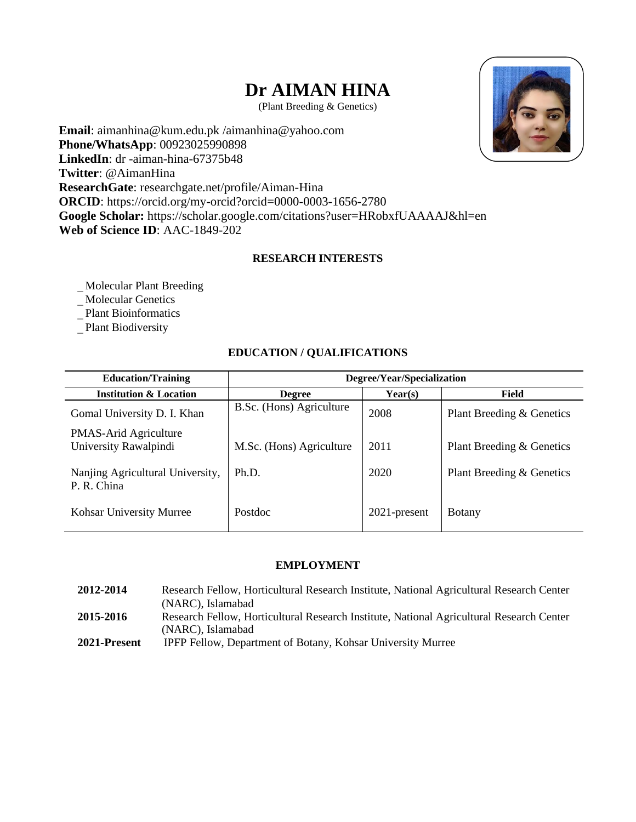# **Dr AIMAN HINA**

(Plant Breeding & Genetics)

**Email**: aimanhina@kum.edu.pk /aimanhina@yahoo.com **Phone/WhatsApp**: 00923025990898 **LinkedIn**: dr -aiman-hina-67375b48 **Twitter**: @AimanHina **ResearchGate**: researchgate.net/profile/Aiman-Hina **ORCID**: https://orcid.org/my-orcid?orcid=0000-0003-1656-2780 **Google Scholar:** https://scholar.google.com/citations?user=HRobxfUAAAAJ&hl=en **Web of Science ID**: AAC-1849-202

## **RESEARCH INTERESTS**

Molecular Plant Breeding

Molecular Genetics

Plant Bioinformatics

Plant Biodiversity

## **EDUCATION / QUALIFICATIONS**

| <b>Education/Training</b>                             | Degree/Year/Specialization |                 |                           |  |
|-------------------------------------------------------|----------------------------|-----------------|---------------------------|--|
| <b>Institution &amp; Location</b>                     | <b>Degree</b>              | Year(s)         | Field                     |  |
| Gomal University D. I. Khan                           | B.Sc. (Hons) Agriculture   | 2008            | Plant Breeding & Genetics |  |
| <b>PMAS-Arid Agriculture</b><br>University Rawalpindi | M.Sc. (Hons) Agriculture   | 2011            | Plant Breeding & Genetics |  |
| Nanjing Agricultural University,<br>P. R. China       | Ph.D.                      | 2020            | Plant Breeding & Genetics |  |
| Kohsar University Murree                              | Postdoc                    | $2021$ -present | <b>B</b> otany            |  |

## **EMPLOYMENT**

**2012-2014** Research Fellow, Horticultural Research Institute, National Agricultural Research Center (NARC), Islamabad **2015-2016** Research Fellow, Horticultural Research Institute, National Agricultural Research Center (NARC), Islamabad **2021-Present** IPFP Fellow, Department of Botany, Kohsar University Murree

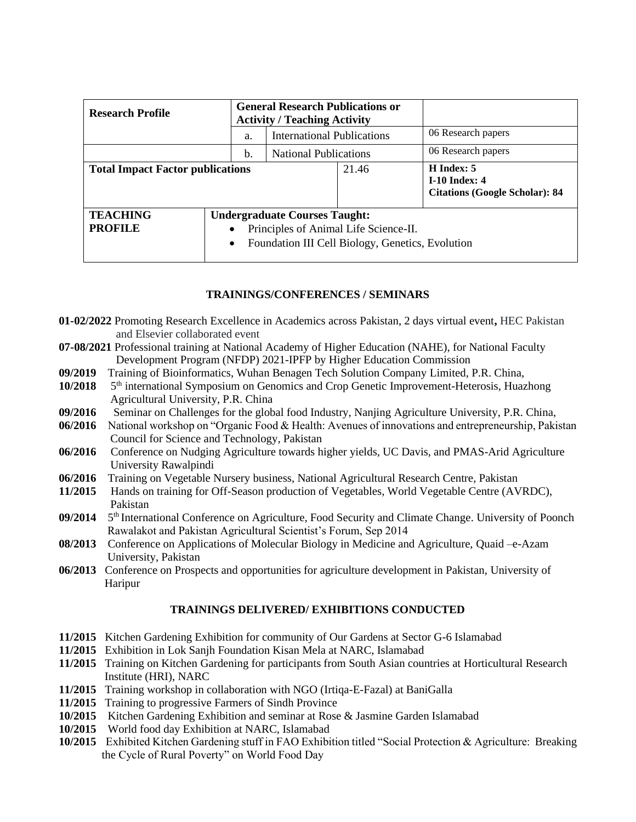| <b>Research Profile</b>                 |  | <b>General Research Publications or</b><br><b>Activity / Teaching Activity</b>                                                                      |                                                                             |  |                    |
|-----------------------------------------|--|-----------------------------------------------------------------------------------------------------------------------------------------------------|-----------------------------------------------------------------------------|--|--------------------|
|                                         |  | a.                                                                                                                                                  | <b>International Publications</b>                                           |  | 06 Research papers |
|                                         |  | b.                                                                                                                                                  | <b>National Publications</b>                                                |  | 06 Research papers |
| <b>Total Impact Factor publications</b> |  | 21.46                                                                                                                                               | H Index: 5<br><b>I-10 Index: 4</b><br><b>Citations (Google Scholar): 84</b> |  |                    |
| <b>TEACHING</b><br><b>PROFILE</b>       |  | <b>Undergraduate Courses Taught:</b><br>Principles of Animal Life Science-II.<br>٠<br>Foundation III Cell Biology, Genetics, Evolution<br>$\bullet$ |                                                                             |  |                    |

## **TRAININGS/CONFERENCES / SEMINARS**

- **01-02/2022** Promoting Research Excellence in Academics across Pakistan, 2 days virtual event**,** HEC Pakistan and Elsevier collaborated event
- **07-08/2021** Professional training at National Academy of Higher Education (NAHE), for National Faculty Development Program (NFDP) 2021-IPFP by Higher Education Commission
- **09/2019** Training of Bioinformatics, Wuhan Benagen Tech Solution Company Limited, P.R. China,
- **10/2018** 5<sup>th</sup> international Symposium on Genomics and Crop Genetic Improvement-Heterosis, Huazhong Agricultural University, P.R. China
- **09/2016** Seminar on Challenges for the global food Industry, Nanjing Agriculture University, P.R. China,
- **06/2016** National workshop on "Organic Food & Health: Avenues of innovations and entrepreneurship, Pakistan Council for Science and Technology, Pakistan
- **06/2016** Conference on Nudging Agriculture towards higher yields, UC Davis, and PMAS-Arid Agriculture University Rawalpindi
- **06/2016** Training on Vegetable Nursery business, National Agricultural Research Centre, Pakistan
- **11/2015** Hands on training for Off-Season production of Vegetables, World Vegetable Centre (AVRDC), Pakistan
- **09/2014** 5 5<sup>th</sup> International Conference on Agriculture, Food Security and Climate Change. University of Poonch Rawalakot and Pakistan Agricultural Scientist's Forum, Sep 2014
- **08/2013** Conference on Applications of Molecular Biology in Medicine and Agriculture, Quaid –e-Azam University, Pakistan
- **06/2013** Conference on Prospects and opportunities for agriculture development in Pakistan, University of Haripur

## **TRAININGS DELIVERED/ EXHIBITIONS CONDUCTED**

- **11/2015** Kitchen Gardening Exhibition for community of Our Gardens at Sector G-6 Islamabad
- **11/2015** Exhibition in Lok Sanjh Foundation Kisan Mela at NARC, Islamabad
- **11/2015** Training on Kitchen Gardening for participants from South Asian countries at Horticultural Research Institute (HRI), NARC
- **11/2015** Training workshop in collaboration with NGO (Irtiqa-E-Fazal) at BaniGalla
- **11/2015** Training to progressive Farmers of Sindh Province
- **10/2015** Kitchen Gardening Exhibition and seminar at Rose & Jasmine Garden Islamabad
- **10/2015** World food day Exhibition at NARC, Islamabad
- **10/2015** Exhibited Kitchen Gardening stuff in FAO Exhibition titled "Social Protection & Agriculture: Breaking the Cycle of Rural Poverty" on World Food Day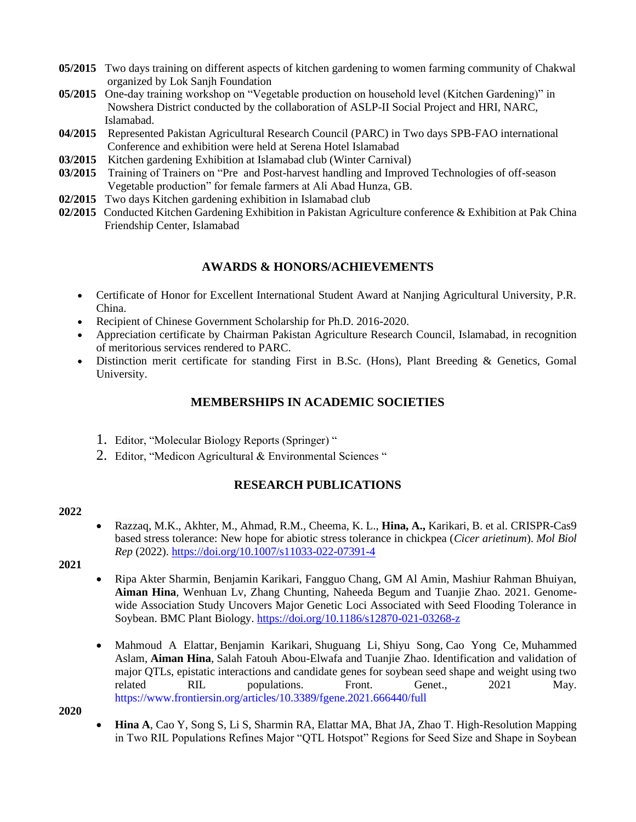- **05/2015** Two days training on different aspects of kitchen gardening to women farming community of Chakwal organized by Lok Sanjh Foundation
- **05/2015** One-day training workshop on "Vegetable production on household level (Kitchen Gardening)" in Nowshera District conducted by the collaboration of ASLP-II Social Project and HRI, NARC, Islamabad.
- **04/2015** Represented Pakistan Agricultural Research Council (PARC) in Two days SPB-FAO international Conference and exhibition were held at Serena Hotel Islamabad
- **03/2015** Kitchen gardening Exhibition at Islamabad club (Winter Carnival)
- **03/2015** Training of Trainers on "Pre and Post-harvest handling and Improved Technologies of off-season Vegetable production" for female farmers at Ali Abad Hunza, GB.
- **02/2015** Two days Kitchen gardening exhibition in Islamabad club
- **02/2015** Conducted Kitchen Gardening Exhibition in Pakistan Agriculture conference & Exhibition at Pak China Friendship Center, Islamabad

## **AWARDS & HONORS/ACHIEVEMENTS**

- Certificate of Honor for Excellent International Student Award at Nanjing Agricultural University, P.R. China.
- Recipient of Chinese Government Scholarship for Ph.D. 2016-2020.
- Appreciation certificate by Chairman Pakistan Agriculture Research Council, Islamabad, in recognition of meritorious services rendered to PARC.
- Distinction merit certificate for standing First in B.Sc. (Hons), Plant Breeding & Genetics, Gomal University.

# **MEMBERSHIPS IN ACADEMIC SOCIETIES**

- 1. Editor, "Molecular Biology Reports (Springer) "
- 2. Editor, "Medicon Agricultural & Environmental Sciences "

# **RESEARCH PUBLICATIONS**

## **2022**

- Razzaq, M.K., Akhter, M., Ahmad, R.M., Cheema, K. L., **Hina, A.,** Karikari, B. et al. CRISPR-Cas9 based stress tolerance: New hope for abiotic stress tolerance in chickpea (*Cicer arietinum*). *Mol Biol Rep* (2022). <https://doi.org/10.1007/s11033-022-07391-4>
- **2021**
- Ripa Akter Sharmin, Benjamin Karikari, Fangguo Chang, GM Al Amin, Mashiur Rahman Bhuiyan, **Aiman Hina**, Wenhuan Lv, Zhang Chunting, Naheeda Begum and Tuanjie Zhao. 2021. Genomewide Association Study Uncovers Major Genetic Loci Associated with Seed Flooding Tolerance in Soybean. BMC Plant Biology.<https://doi.org/10.1186/s12870-021-03268-z>
- [Mahmoud A Elattar,](http://www.frontiersin.org/Community/WhosWhoActivity.aspx?sname=MahmoudElattar&UID=1230774) [Benjamin Karikari,](http://www.frontiersin.org/Community/WhosWhoActivity.aspx?sname=BenjaminKarikari&UID=741579) [Shuguang Li,](http://www.frontiersin.org/Community/WhosWhoActivity.aspx?sname=ShuguangLi&UID=763501) Shiyu Song, [Cao Yong Ce,](http://www.frontiersin.org/Community/WhosWhoActivity.aspx?sname=CaoCe&UID=763275) [Muhammed](http://www.frontiersin.org/Community/WhosWhoActivity.aspx?sname=MuhammadAslam&UID=1267018)  [Aslam,](http://www.frontiersin.org/Community/WhosWhoActivity.aspx?sname=MuhammadAslam&UID=1267018) **[Aiman Hina](http://www.frontiersin.org/Community/WhosWhoActivity.aspx?sname=AimanHina&UID=1229674)**, [Salah Fatouh Abou-Elwafa](http://www.frontiersin.org/Community/WhosWhoActivity.aspx?sname=SalahAbou-Elwafa&UID=799378) and [Tuanjie Zhao.](http://www.frontiersin.org/Community/WhosWhoActivity.aspx?sname=TuanjieZhao&UID=345840) [Identification and validation of](http://www.frontiersin.org/Journal/Abstract.aspx?d=0&name=Plant_Genomics&ART_DOI=10.3389/fgene.2021.666440)  [major QTLs, epistatic interactions and candidate genes for soybean seed shape and weight using two](http://www.frontiersin.org/Journal/Abstract.aspx?d=0&name=Plant_Genomics&ART_DOI=10.3389/fgene.2021.666440)  [related RIL populations.](http://www.frontiersin.org/Journal/Abstract.aspx?d=0&name=Plant_Genomics&ART_DOI=10.3389/fgene.2021.666440) Front. Genet., 2021 May. <https://www.frontiersin.org/articles/10.3389/fgene.2021.666440/full>

**2020** 

• **Hina A**, Cao Y, Song S, Li S, Sharmin RA, Elattar MA, Bhat JA, Zhao T. High-Resolution Mapping in Two RIL Populations Refines Major "QTL Hotspot" Regions for Seed Size and Shape in Soybean